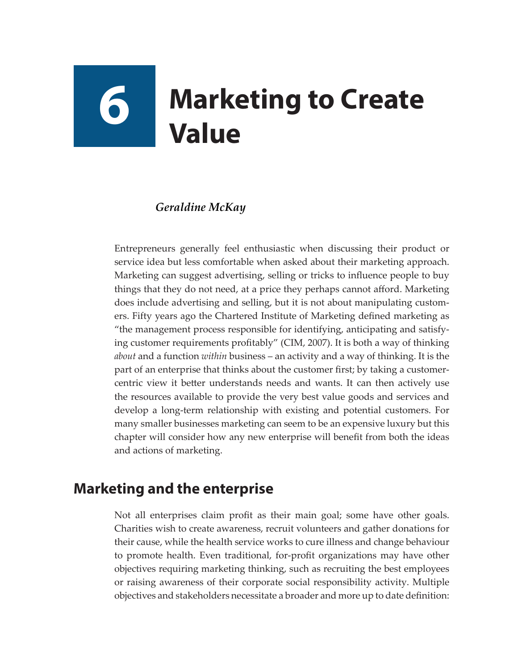# **6 Marketing to Create Value**

#### *Geraldine McKay*

Entrepreneurs generally feel enthusiastic when discussing their product or service idea but less comfortable when asked about their marketing approach. Marketing can suggest advertising, selling or tricks to influence people to buy things that they do not need, at a price they perhaps cannot afford. Marketing does include advertising and selling, but it is not about manipulating customers. Fifty years ago the Chartered Institute of Marketing defined marketing as "the management process responsible for identifying, anticipating and satisfying customer requirements profitably" (CIM, 2007). It is both a way of thinking *about* and a function *within* business – an activity and a way of thinking. It is the part of an enterprise that thinks about the customer first; by taking a customercentric view it better understands needs and wants. It can then actively use the resources available to provide the very best value goods and services and develop a long-term relationship with existing and potential customers. For many smaller businesses marketing can seem to be an expensive luxury but this chapter will consider how any new enterprise will benefit from both the ideas and actions of marketing.

## **Marketing and the enterprise**

Not all enterprises claim profit as their main goal; some have other goals. Charities wish to create awareness, recruit volunteers and gather donations for their cause, while the health service works to cure illness and change behaviour to promote health. Even traditional, for-profit organizations may have other objectives requiring marketing thinking, such as recruiting the best employees or raising awareness of their corporate social responsibility activity. Multiple objectives and stakeholders necessitate a broader and more up to date definition: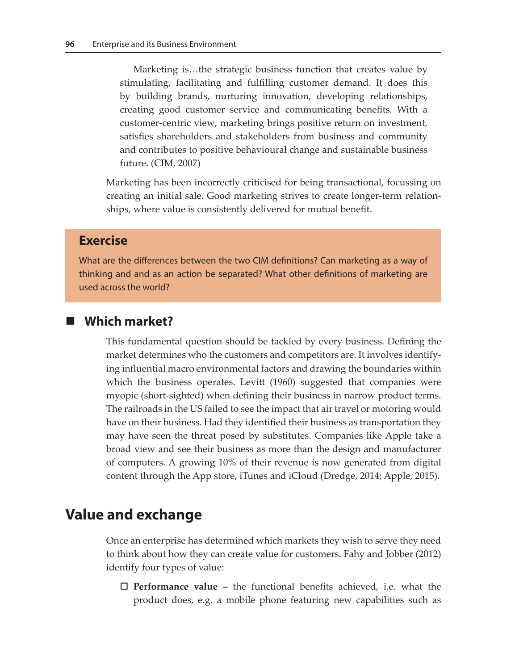Marketing is…the strategic business function that creates value by stimulating, facilitating and fulfilling customer demand. It does this by building brands, nurturing innovation, developing relationships, creating good customer service and communicating benefits. With a customer-centric view, marketing brings positive return on investment, satisfies shareholders and stakeholders from business and community and contributes to positive behavioural change and sustainable business future. (CIM, 2007)

Marketing has been incorrectly criticised for being transactional, focussing on creating an initial sale. Good marketing strives to create longer-term relationships, where value is consistently delivered for mutual benefit.

#### **Exercise**

What are the differences between the two CIM definitions? Can marketing as a way of thinking and and as an action be separated? What other definitions of marketing are used across the world?

#### **Which market?**

This fundamental question should be tackled by every business. Defining the market determines who the customers and competitors are. It involves identifying influential macro environmental factors and drawing the boundaries within which the business operates. Levitt (1960) suggested that companies were myopic (short-sighted) when defining their business in narrow product terms. The railroads in the US failed to see the impact that air travel or motoring would have on their business. Had they identified their business as transportation they may have seen the threat posed by substitutes. Companies like Apple take a broad view and see their business as more than the design and manufacturer of computers. A growing 10% of their revenue is now generated from digital content through the App store, iTunes and iCloud (Dredge, 2014; Apple, 2015).

## **Value and exchange**

Once an enterprise has determined which markets they wish to serve they need to think about how they can create value for customers. Fahy and Jobber (2012) identify four types of value:

 **Performance value –** the functional benefits achieved, i.e. what the product does, e.g. a mobile phone featuring new capabilities such as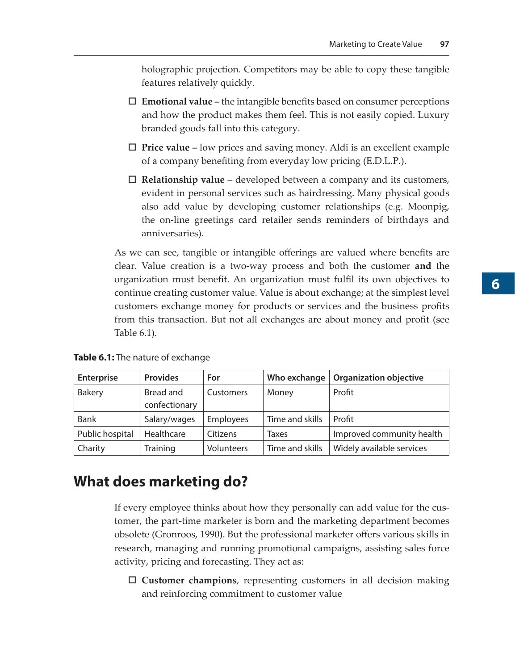holographic projection. Competitors may be able to copy these tangible features relatively quickly.

- **Emotional value –** the intangible benefits based on consumer perceptions and how the product makes them feel. This is not easily copied. Luxury branded goods fall into this category.
- **Price value** low prices and saving money. Aldi is an excellent example of a company benefiting from everyday low pricing (E.D.L.P.).
- **Relationship value** developed between a company and its customers, evident in personal services such as hairdressing. Many physical goods also add value by developing customer relationships (e.g. Moonpig, the on-line greetings card retailer sends reminders of birthdays and anniversaries).

As we can see, tangible or intangible offerings are valued where benefits are clear. Value creation is a two-way process and both the customer **and** the organization must benefit. An organization must fulfil its own objectives to continue creating customer value. Value is about exchange; at the simplest level customers exchange money for products or services and the business profits from this transaction. But not all exchanges are about money and profit (see Table 6.1).

**Table 6.1:** The nature of exchange

| <b>Enterprise</b> | <b>Provides</b>            | For              | Who exchange    | <b>Organization objective</b> |
|-------------------|----------------------------|------------------|-----------------|-------------------------------|
| <b>Bakery</b>     | Bread and<br>confectionary | Customers        | Money           | Profit                        |
| Bank              | Salary/wages               | <b>Employees</b> | Time and skills | Profit                        |
| Public hospital   | Healthcare                 | Citizens         | <b>Taxes</b>    | Improved community health     |
| Charity           | Training                   | Volunteers       | Time and skills | Widely available services     |

### **What does marketing do?**

If every employee thinks about how they personally can add value for the customer, the part-time marketer is born and the marketing department becomes obsolete (Gronroos, 1990). But the professional marketer offers various skills in research, managing and running promotional campaigns, assisting sales force activity, pricing and forecasting. They act as:

 **Customer champions**, representing customers in all decision making and reinforcing commitment to customer value